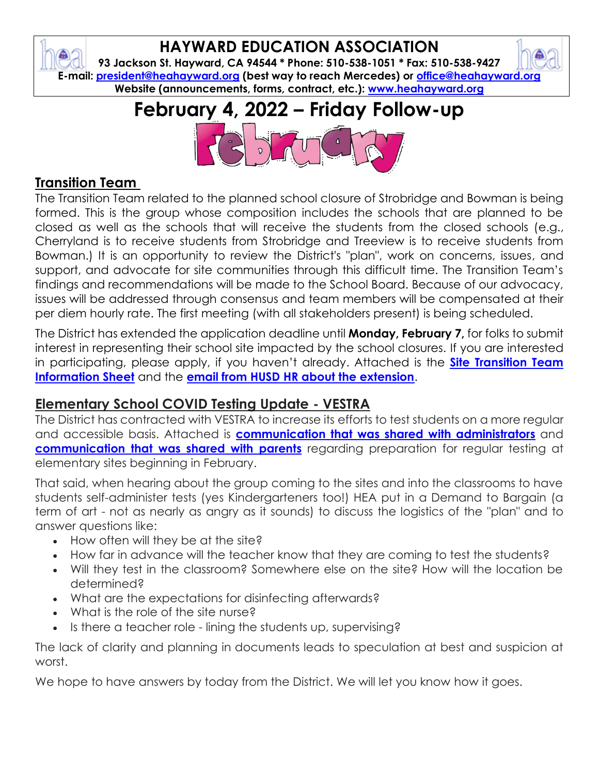# **HAYWARD EDUCATION ASSOCIATION**

**93 Jackson St. Hayward, CA 94544 \* Phone: 510-538-1051 \* Fax: 510-538-9427 E-mail: [president@heahayward.org](mailto:president@heahayward.org) (best way to reach Mercedes) or [office@heahayward.org](mailto:office@heahayward.org) Website (announcements, forms, contract, etc.): [www.heahayward.org](http://www.heahayward.org/)**

# **February 4, 2022 – Friday Follow-up**



## **Transition Team**

The Transition Team related to the planned school closure of Strobridge and Bowman is being formed. This is the group whose composition includes the schools that are planned to be closed as well as the schools that will receive the students from the closed schools (e.g., Cherryland is to receive students from Strobridge and Treeview is to receive students from Bowman.) It is an opportunity to review the District's "plan", work on concerns, issues, and support, and advocate for site communities through this difficult time. The Transition Team's findings and recommendations will be made to the School Board. Because of our advocacy, issues will be addressed through consensus and team members will be compensated at their per diem hourly rate. The first meeting (with all stakeholders present) is being scheduled.

The District has extended the application deadline until **Monday, February 7,** for folks to submit interest in representing their school site impacted by the school closures. If you are interested in participating, please apply, if you haven't already. Attached is the **[Site Transition Team](https://drive.google.com/file/d/1L0gSsuCJfjHcHX0h9vPlrU5QYNEMf-gC/view?usp=sharing)  [Information Sheet](https://drive.google.com/file/d/1L0gSsuCJfjHcHX0h9vPlrU5QYNEMf-gC/view?usp=sharing)** and the **[email from HUSD HR about the extension](https://drive.google.com/file/d/1zilH__6R0O39w8eJ5jNSsVA-Td_q3i4i/view?usp=sharing)**.

# **Elementary School COVID Testing Update - VESTRA**

The District has contracted with VESTRA to increase its efforts to test students on a more regular and accessible basis. Attached is **[communication that was shared with administrators](https://docs.google.com/document/d/1oYThVsqQL_HYrD_LyLogl_oHZ8mJECo5/edit?usp=sharing&ouid=106387318619838498065&rtpof=true&sd=true)** and **[communication that was shared with parents](https://docs.google.com/document/d/1hW866eds5nxXQ9QBVQEaz9ukj8ZjZhK6/edit?usp=sharing&ouid=106387318619838498065&rtpof=true&sd=true)** regarding preparation for regular testing at elementary sites beginning in February.

That said, when hearing about the group coming to the sites and into the classrooms to have students self-administer tests (yes Kindergarteners too!) HEA put in a Demand to Bargain (a term of art - not as nearly as angry as it sounds) to discuss the logistics of the "plan" and to answer questions like:

- How often will they be at the site?
- How far in advance will the teacher know that they are coming to test the students?
- Will they test in the classroom? Somewhere else on the site? How will the location be determined?
- What are the expectations for disinfecting afterwards?
- What is the role of the site nurse?
- Is there a teacher role lining the students up, supervising?

The lack of clarity and planning in documents leads to speculation at best and suspicion at worst.

We hope to have answers by today from the District. We will let you know how it goes.